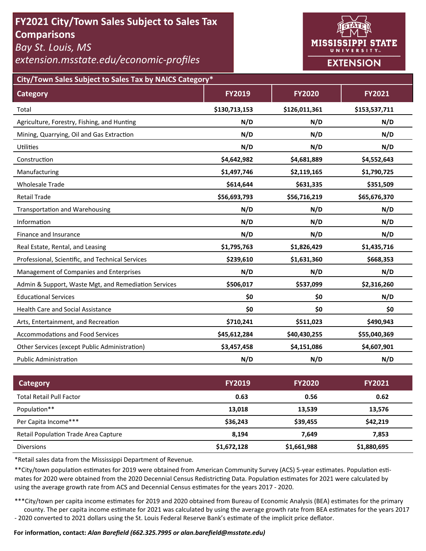# **FY2021 City/Town Sales Subject to Sales Tax Comparisons**

*Bay St. Louis, MS* 

*extension.msstate.edu/economic‐profiles* 



**City/Town Sales Subject to Sales Tax by NAICS Category\***

| <b>Category</b>                                      | <b>FY2019</b> | <b>FY2020</b> | <b>FY2021</b> |
|------------------------------------------------------|---------------|---------------|---------------|
| Total                                                | \$130,713,153 | \$126,011,361 | \$153,537,711 |
| Agriculture, Forestry, Fishing, and Hunting          | N/D           | N/D           | N/D           |
| Mining, Quarrying, Oil and Gas Extraction            | N/D           | N/D           | N/D           |
| <b>Utilities</b>                                     | N/D           | N/D           | N/D           |
| Construction                                         | \$4,642,982   | \$4,681,889   | \$4,552,643   |
| Manufacturing                                        | \$1,497,746   | \$2,119,165   | \$1,790,725   |
| <b>Wholesale Trade</b>                               | \$614,644     | \$631,335     | \$351,509     |
| <b>Retail Trade</b>                                  | \$56,693,793  | \$56,716,219  | \$65,676,370  |
| <b>Transportation and Warehousing</b>                | N/D           | N/D           | N/D           |
| Information                                          | N/D           | N/D           | N/D           |
| Finance and Insurance                                | N/D           | N/D           | N/D           |
| Real Estate, Rental, and Leasing                     | \$1,795,763   | \$1,826,429   | \$1,435,716   |
| Professional, Scientific, and Technical Services     | \$239,610     | \$1,631,360   | \$668,353     |
| Management of Companies and Enterprises              | N/D           | N/D           | N/D           |
| Admin & Support, Waste Mgt, and Remediation Services | \$506,017     | \$537,099     | \$2,316,260   |
| <b>Educational Services</b>                          | \$0           | \$0           | N/D           |
| <b>Health Care and Social Assistance</b>             | \$0           | \$0           | \$0           |
| Arts, Entertainment, and Recreation                  | \$710,241     | \$511,023     | \$490,943     |
| <b>Accommodations and Food Services</b>              | \$45,612,284  | \$40,430,255  | \$55,040,369  |
| Other Services (except Public Administration)        | \$3,457,458   | \$4,151,086   | \$4,607,901   |
| <b>Public Administration</b>                         | N/D           | N/D           | N/D           |

| Category                             | <b>FY2019</b> | <b>FY2020</b> | <b>FY2021</b> |
|--------------------------------------|---------------|---------------|---------------|
| <b>Total Retail Pull Factor</b>      | 0.63          | 0.56          | 0.62          |
| Population**                         | 13,018        | 13,539        | 13,576        |
| Per Capita Income***                 | \$36,243      | \$39,455      | \$42,219      |
| Retail Population Trade Area Capture | 8.194         | 7.649         | 7,853         |
| <b>Diversions</b>                    | \$1,672,128   | \$1,661,988   | \$1,880,695   |

\*Retail sales data from the Mississippi Department of Revenue*.* 

\*\*City/town population estimates for 2019 were obtained from American Community Survey (ACS) 5-year estimates. Population estimates for 2020 were obtained from the 2020 Decennial Census Redistricting Data. Population estimates for 2021 were calculated by using the average growth rate from ACS and Decennial Census estimates for the years 2017 - 2020.

\*\*\*City/town per capita income estimates for 2019 and 2020 obtained from Bureau of Economic Analysis (BEA) estimates for the primary county. The per capita income estimate for 2021 was calculated by using the average growth rate from BEA estimates for the years 2017 - 2020 converted to 2021 dollars using the St. Louis Federal Reserve Bank's estimate of the implicit price deflator.

### **For informaƟon, contact:** *Alan Barefield (662.325.7995 or alan.barefield@msstate.edu)*